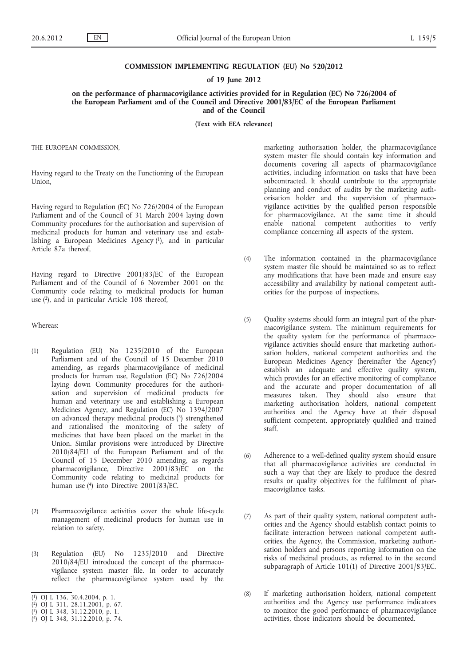## **COMMISSION IMPLEMENTING REGULATION (EU) No 520/2012**

## **of 19 June 2012**

**on the performance of pharmacovigilance activities provided for in Regulation (EC) No 726/2004 of the European Parliament and of the Council and Directive 2001/83/EC of the European Parliament and of the Council**

**(Text with EEA relevance)**

THE EUROPEAN COMMISSION,

Having regard to the Treaty on the Functioning of the European Union,

Having regard to Regulation (EC) No 726/2004 of the European Parliament and of the Council of 31 March 2004 laying down Community procedures for the authorisation and supervision of medicinal products for human and veterinary use and establishing a European Medicines Agency  $(1)$ , and in particular Article 87a thereof,

Having regard to Directive 2001/83/EC of the European Parliament and of the Council of 6 November 2001 on the Community code relating to medicinal products for human use (2), and in particular Article 108 thereof,

Whereas:

- (1) Regulation (EU) No 1235/2010 of the European Parliament and of the Council of 15 December 2010 amending, as regards pharmacovigilance of medicinal products for human use, Regulation (EC) No 726/2004 laying down Community procedures for the authorisation and supervision of medicinal products for human and veterinary use and establishing a European Medicines Agency, and Regulation (EC) No 1394/2007 on advanced therapy medicinal products (3) strengthened and rationalised the monitoring of the safety of medicines that have been placed on the market in the Union. Similar provisions were introduced by Directive 2010/84/EU of the European Parliament and of the Council of 15 December 2010 amending, as regards pharmacovigilance, Directive 2001/83/EC on the Community code relating to medicinal products for human use (4) into Directive 2001/83/EC.
- (2) Pharmacovigilance activities cover the whole life-cycle management of medicinal products for human use in relation to safety.
- (3) Regulation (EU) No 1235/2010 and Directive 2010/84/EU introduced the concept of the pharmacovigilance system master file. In order to accurately reflect the pharmacovigilance system used by the

marketing authorisation holder, the pharmacovigilance system master file should contain key information and documents covering all aspects of pharmacovigilance activities, including information on tasks that have been subcontracted. It should contribute to the appropriate planning and conduct of audits by the marketing authorisation holder and the supervision of pharmacovigilance activities by the qualified person responsible for pharmacovigilance. At the same time it should enable national competent authorities to verify compliance concerning all aspects of the system.

- (4) The information contained in the pharmacovigilance system master file should be maintained so as to reflect any modifications that have been made and ensure easy accessibility and availability by national competent authorities for the purpose of inspections.
- (5) Quality systems should form an integral part of the pharmacovigilance system. The minimum requirements for the quality system for the performance of pharmacovigilance activities should ensure that marketing authorisation holders, national competent authorities and the European Medicines Agency (hereinafter 'the Agency') establish an adequate and effective quality system, which provides for an effective monitoring of compliance and the accurate and proper documentation of all measures taken. They should also ensure that marketing authorisation holders, national competent authorities and the Agency have at their disposal sufficient competent, appropriately qualified and trained staff.
- (6) Adherence to a well-defined quality system should ensure that all pharmacovigilance activities are conducted in such a way that they are likely to produce the desired results or quality objectives for the fulfilment of pharmacovigilance tasks.
- (7) As part of their quality system, national competent authorities and the Agency should establish contact points to facilitate interaction between national competent authorities, the Agency, the Commission, marketing authorisation holders and persons reporting information on the risks of medicinal products, as referred to in the second subparagraph of Article 101(1) of Directive 2001/83/EC.
- (8) If marketing authorisation holders, national competent authorities and the Agency use performance indicators to monitor the good performance of pharmacovigilance activities, those indicators should be documented.

<sup>(</sup> 1) OJ L 136, 30.4.2004, p. 1.

<sup>(</sup> 2) OJ L 311, 28.11.2001, p. 67.

<sup>(</sup> 3) OJ L 348, 31.12.2010, p. 1.

<sup>(</sup> 4) OJ L 348, 31.12.2010, p. 74.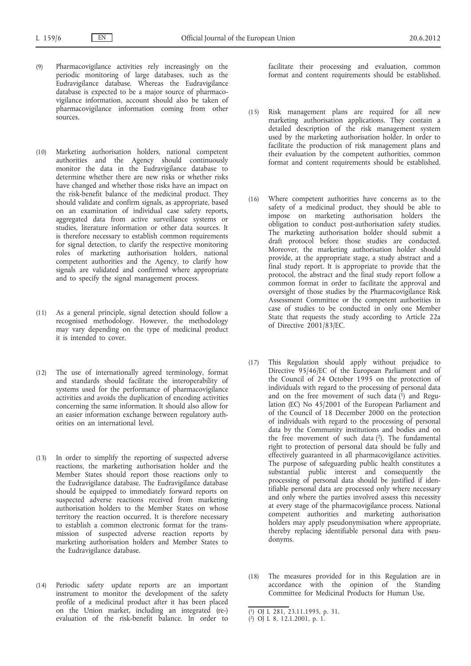- (9) Pharmacovigilance activities rely increasingly on the periodic monitoring of large databases, such as the Eudravigilance database. Whereas the Eudravigilance database is expected to be a major source of pharmacovigilance information, account should also be taken of pharmacovigilance information coming from other sources.
- (10) Marketing authorisation holders, national competent authorities and the Agency should continuously monitor the data in the Eudravigilance database to determine whether there are new risks or whether risks have changed and whether those risks have an impact on the risk-benefit balance of the medicinal product. They should validate and confirm signals, as appropriate, based on an examination of individual case safety reports, aggregated data from active surveillance systems or studies, literature information or other data sources. It is therefore necessary to establish common requirements for signal detection, to clarify the respective monitoring roles of marketing authorisation holders, national competent authorities and the Agency, to clarify how signals are validated and confirmed where appropriate and to specify the signal management process.
- (11) As a general principle, signal detection should follow a recognised methodology. However, the methodology may vary depending on the type of medicinal product it is intended to cover.
- (12) The use of internationally agreed terminology, format and standards should facilitate the interoperability of systems used for the performance of pharmacovigilance activities and avoids the duplication of encoding activities concerning the same information. It should also allow for an easier information exchange between regulatory authorities on an international level.
- (13) In order to simplify the reporting of suspected adverse reactions, the marketing authorisation holder and the Member States should report those reactions only to the Eudravigilance database. The Eudravigilance database should be equipped to immediately forward reports on suspected adverse reactions received from marketing authorisation holders to the Member States on whose territory the reaction occurred. It is therefore necessary to establish a common electronic format for the transmission of suspected adverse reaction reports by marketing authorisation holders and Member States to the Eudravigilance database.
- (14) Periodic safety update reports are an important instrument to monitor the development of the safety profile of a medicinal product after it has been placed on the Union market, including an integrated (re-) evaluation of the risk-benefit balance. In order to

facilitate their processing and evaluation, common format and content requirements should be established.

- (15) Risk management plans are required for all new marketing authorisation applications. They contain a detailed description of the risk management system used by the marketing authorisation holder. In order to facilitate the production of risk management plans and their evaluation by the competent authorities, common format and content requirements should be established.
- (16) Where competent authorities have concerns as to the safety of a medicinal product, they should be able to impose on marketing authorisation holders the obligation to conduct post-authorisation safety studies. The marketing authorisation holder should submit a draft protocol before those studies are conducted. Moreover, the marketing authorisation holder should provide, at the appropriate stage, a study abstract and a final study report. It is appropriate to provide that the protocol, the abstract and the final study report follow a common format in order to facilitate the approval and oversight of those studies by the Pharmacovigilance Risk Assessment Committee or the competent authorities in case of studies to be conducted in only one Member State that requests the study according to Article 22a of Directive 2001/83/EC.
- (17) This Regulation should apply without prejudice to Directive 95/46/EC of the European Parliament and of the Council of 24 October 1995 on the protection of individuals with regard to the processing of personal data and on the free movement of such data  $(1)$  and Regulation (EC) No 45/2001 of the European Parliament and of the Council of 18 December 2000 on the protection of individuals with regard to the processing of personal data by the Community institutions and bodies and on the free movement of such data  $(2)$ . The fundamental right to protection of personal data should be fully and effectively guaranteed in all pharmacovigilance activities. The purpose of safeguarding public health constitutes a substantial public interest and consequently the processing of personal data should be justified if identifiable personal data are processed only where necessary and only where the parties involved assess this necessity at every stage of the pharmacovigilance process. National competent authorities and marketing authorisation holders may apply pseudonymisation where appropriate, thereby replacing identifiable personal data with pseudonyms.
- (18) The measures provided for in this Regulation are in accordance with the opinion of the Standing Committee for Medicinal Products for Human Use,

<sup>(</sup> 1) OJ L 281, 23.11.1995, p. 31.

<sup>(</sup> 2) OJ L 8, 12.1.2001, p. 1.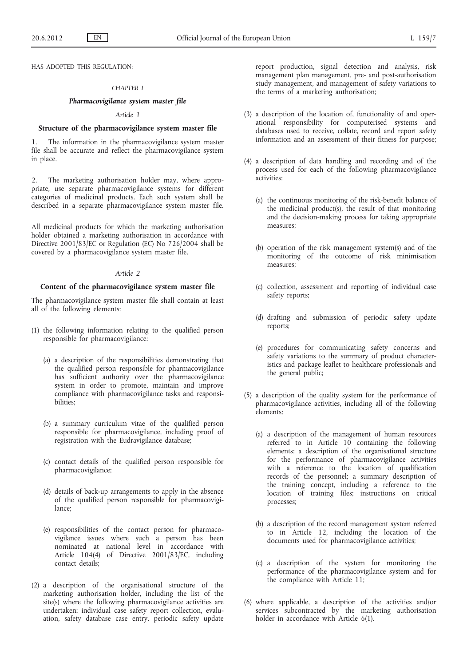HAS ADOPTED THIS REGULATION:

## *CHAPTER I*

## *Pharmacovigilance system master file*

#### *Article 1*

## **Structure of the pharmacovigilance system master file**

The information in the pharmacovigilance system master file shall be accurate and reflect the pharmacovigilance system in place.

2. The marketing authorisation holder may, where appropriate, use separate pharmacovigilance systems for different categories of medicinal products. Each such system shall be described in a separate pharmacovigilance system master file.

All medicinal products for which the marketing authorisation holder obtained a marketing authorisation in accordance with Directive 2001/83/EC or Regulation (EC) No 726/2004 shall be covered by a pharmacovigilance system master file.

## *Article 2*

## **Content of the pharmacovigilance system master file**

The pharmacovigilance system master file shall contain at least all of the following elements:

- (1) the following information relating to the qualified person responsible for pharmacovigilance:
	- (a) a description of the responsibilities demonstrating that the qualified person responsible for pharmacovigilance has sufficient authority over the pharmacovigilance system in order to promote, maintain and improve compliance with pharmacovigilance tasks and responsibilities;
	- (b) a summary curriculum vitae of the qualified person responsible for pharmacovigilance, including proof of registration with the Eudravigilance database;
	- (c) contact details of the qualified person responsible for pharmacovigilance;
	- (d) details of back-up arrangements to apply in the absence of the qualified person responsible for pharmacovigilance;
	- (e) responsibilities of the contact person for pharmacovigilance issues where such a person has been nominated at national level in accordance with Article 104(4) of Directive 2001/83/EC, including contact details;
- (2) a description of the organisational structure of the marketing authorisation holder, including the list of the site(s) where the following pharmacovigilance activities are undertaken: individual case safety report collection, evaluation, safety database case entry, periodic safety update

report production, signal detection and analysis, risk management plan management, pre- and post-authorisation study management, and management of safety variations to the terms of a marketing authorisation;

- (3) a description of the location of, functionality of and operational responsibility for computerised systems and databases used to receive, collate, record and report safety information and an assessment of their fitness for purpose;
- (4) a description of data handling and recording and of the process used for each of the following pharmacovigilance activities:
	- (a) the continuous monitoring of the risk-benefit balance of the medicinal product(s), the result of that monitoring and the decision-making process for taking appropriate measures;
	- (b) operation of the risk management system(s) and of the monitoring of the outcome of risk minimisation measures;
	- (c) collection, assessment and reporting of individual case safety reports;
	- (d) drafting and submission of periodic safety update reports;
	- (e) procedures for communicating safety concerns and safety variations to the summary of product characteristics and package leaflet to healthcare professionals and the general public;
- (5) a description of the quality system for the performance of pharmacovigilance activities, including all of the following elements:
	- (a) a description of the management of human resources referred to in Article 10 containing the following elements: a description of the organisational structure for the performance of pharmacovigilance activities with a reference to the location of qualification records of the personnel; a summary description of the training concept, including a reference to the location of training files; instructions on critical processes;
	- (b) a description of the record management system referred to in Article 12, including the location of the documents used for pharmacovigilance activities;
	- (c) a description of the system for monitoring the performance of the pharmacovigilance system and for the compliance with Article 11;
- (6) where applicable, a description of the activities and/or services subcontracted by the marketing authorisation holder in accordance with Article 6(1).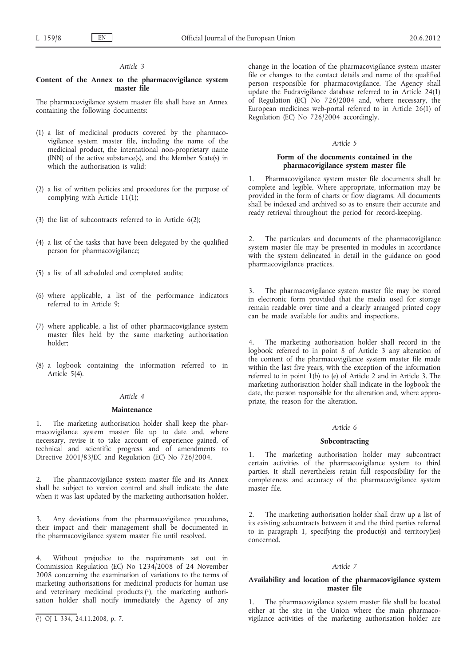## *Article 3*

## **Content of the Annex to the pharmacovigilance system master file**

The pharmacovigilance system master file shall have an Annex containing the following documents:

- (1) a list of medicinal products covered by the pharmacovigilance system master file, including the name of the medicinal product, the international non-proprietary name (INN) of the active substance(s), and the Member State(s) in which the authorisation is valid;
- (2) a list of written policies and procedures for the purpose of complying with Article 11(1);
- (3) the list of subcontracts referred to in Article 6(2);
- (4) a list of the tasks that have been delegated by the qualified person for pharmacovigilance;
- (5) a list of all scheduled and completed audits;
- (6) where applicable, a list of the performance indicators referred to in Article 9;
- (7) where applicable, a list of other pharmacovigilance system master files held by the same marketing authorisation holder;
- (8) a logbook containing the information referred to in Article 5(4).

# *Article 4*

## **Maintenance**

1. The marketing authorisation holder shall keep the pharmacovigilance system master file up to date and, where necessary, revise it to take account of experience gained, of technical and scientific progress and of amendments to Directive 2001/83/EC and Regulation (EC) No 726/2004.

2. The pharmacovigilance system master file and its Annex shall be subject to version control and shall indicate the date when it was last updated by the marketing authorisation holder.

3. Any deviations from the pharmacovigilance procedures, their impact and their management shall be documented in the pharmacovigilance system master file until resolved.

4. Without prejudice to the requirements set out in Commission Regulation (EC) No 1234/2008 of 24 November 2008 concerning the examination of variations to the terms of marketing authorisations for medicinal products for human use and veterinary medicinal products (1), the marketing authorisation holder shall notify immediately the Agency of any change in the location of the pharmacovigilance system master file or changes to the contact details and name of the qualified person responsible for pharmacovigilance. The Agency shall update the Eudravigilance database referred to in Article 24(1) of Regulation (EC) No 726/2004 and, where necessary, the European medicines web-portal referred to in Article 26(1) of Regulation (EC) No 726/2004 accordingly.

## *Article 5*

## **Form of the documents contained in the pharmacovigilance system master file**

1. Pharmacovigilance system master file documents shall be complete and legible. Where appropriate, information may be provided in the form of charts or flow diagrams. All documents shall be indexed and archived so as to ensure their accurate and ready retrieval throughout the period for record-keeping.

2. The particulars and documents of the pharmacovigilance system master file may be presented in modules in accordance with the system delineated in detail in the guidance on good pharmacovigilance practices.

3. The pharmacovigilance system master file may be stored in electronic form provided that the media used for storage remain readable over time and a clearly arranged printed copy can be made available for audits and inspections.

4. The marketing authorisation holder shall record in the logbook referred to in point 8 of Article 3 any alteration of the content of the pharmacovigilance system master file made within the last five years, with the exception of the information referred to in point 1(b) to (e) of Article 2 and in Article 3. The marketing authorisation holder shall indicate in the logbook the date, the person responsible for the alteration and, where appropriate, the reason for the alteration.

#### *Article 6*

## **Subcontracting**

The marketing authorisation holder may subcontract certain activities of the pharmacovigilance system to third parties. It shall nevertheless retain full responsibility for the completeness and accuracy of the pharmacovigilance system master file.

2. The marketing authorisation holder shall draw up a list of its existing subcontracts between it and the third parties referred to in paragraph 1, specifying the product(s) and territory(ies) concerned.

## *Article 7*

## **Availability and location of the pharmacovigilance system master file**

The pharmacovigilance system master file shall be located either at the site in the Union where the main pharmacovigilance activities of the marketing authorisation holder are

<sup>(</sup> 1) OJ L 334, 24.11.2008, p. 7.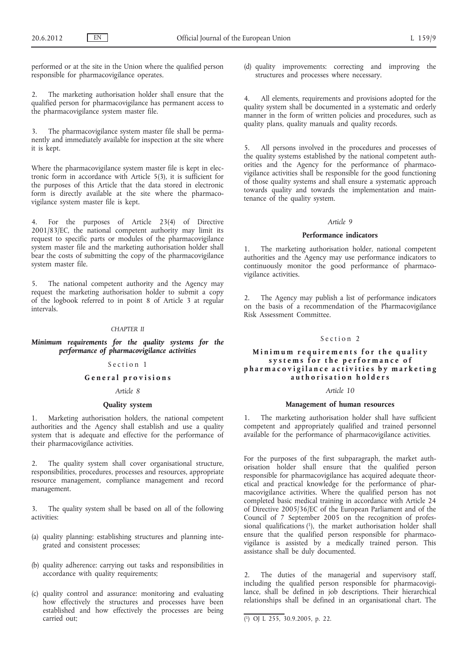performed or at the site in the Union where the qualified person responsible for pharmacovigilance operates.

2. The marketing authorisation holder shall ensure that the qualified person for pharmacovigilance has permanent access to the pharmacovigilance system master file.

3. The pharmacovigilance system master file shall be permanently and immediately available for inspection at the site where it is kept.

Where the pharmacovigilance system master file is kept in electronic form in accordance with Article 5(3), it is sufficient for the purposes of this Article that the data stored in electronic form is directly available at the site where the pharmacovigilance system master file is kept.

4. For the purposes of Article 23(4) of Directive 2001/83/EC, the national competent authority may limit its request to specific parts or modules of the pharmacovigilance system master file and the marketing authorisation holder shall bear the costs of submitting the copy of the pharmacovigilance system master file.

5. The national competent authority and the Agency may request the marketing authorisation holder to submit a copy of the logbook referred to in point 8 of Article 3 at regular intervals.

#### *CHAPTER II*

# *Minimum requirements for the quality systems for the performance of pharmacovigilance activities*

## Section 1

# **G e n e r a l p r o v i s i o n s**

## *Article 8*

## **Quality system**

1. Marketing authorisation holders, the national competent authorities and the Agency shall establish and use a quality system that is adequate and effective for the performance of their pharmacovigilance activities.

The quality system shall cover organisational structure, responsibilities, procedures, processes and resources, appropriate resource management, compliance management and record management.

3. The quality system shall be based on all of the following activities:

- (a) quality planning: establishing structures and planning integrated and consistent processes;
- (b) quality adherence: carrying out tasks and responsibilities in accordance with quality requirements;
- (c) quality control and assurance: monitoring and evaluating how effectively the structures and processes have been established and how effectively the processes are being carried out;

(d) quality improvements: correcting and improving the structures and processes where necessary.

4. All elements, requirements and provisions adopted for the quality system shall be documented in a systematic and orderly manner in the form of written policies and procedures, such as quality plans, quality manuals and quality records.

5. All persons involved in the procedures and processes of the quality systems established by the national competent authorities and the Agency for the performance of pharmacovigilance activities shall be responsible for the good functioning of those quality systems and shall ensure a systematic approach towards quality and towards the implementation and maintenance of the quality system.

## *Article 9*

#### **Performance indicators**

1. The marketing authorisation holder, national competent authorities and the Agency may use performance indicators to continuously monitor the good performance of pharmacovigilance activities.

2. The Agency may publish a list of performance indicators on the basis of a recommendation of the Pharmacovigilance Risk Assessment Committee.

## Section 2

## **Minimum requirements for the quality** systems for the performance of pharmacovigilance activities by marketing **a u t h o r i s a t i o n h o l d e r s**

## *Article 10*

#### **Management of human resources**

1. The marketing authorisation holder shall have sufficient competent and appropriately qualified and trained personnel available for the performance of pharmacovigilance activities.

For the purposes of the first subparagraph, the market authorisation holder shall ensure that the qualified person responsible for pharmacovigilance has acquired adequate theoretical and practical knowledge for the performance of pharmacovigilance activities. Where the qualified person has not completed basic medical training in accordance with Article 24 of Directive 2005/36/EC of the European Parliament and of the Council of 7 September 2005 on the recognition of professional qualifications (1), the market authorisation holder shall ensure that the qualified person responsible for pharmacovigilance is assisted by a medically trained person. This assistance shall be duly documented.

2. The duties of the managerial and supervisory staff, including the qualified person responsible for pharmacovigilance, shall be defined in job descriptions. Their hierarchical relationships shall be defined in an organisational chart. The

<sup>(</sup> 1) OJ L 255, 30.9.2005, p. 22.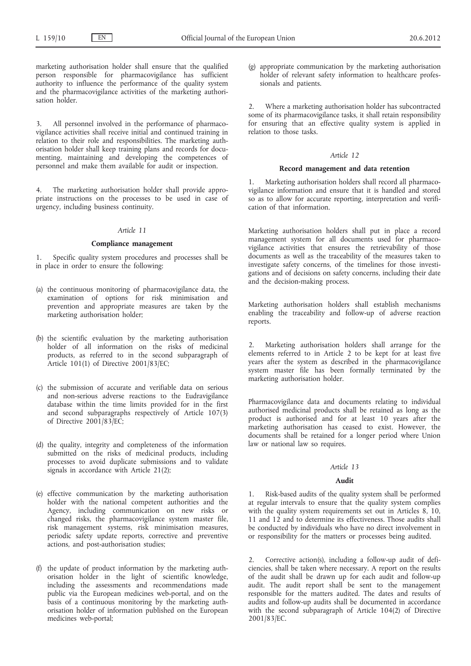marketing authorisation holder shall ensure that the qualified person responsible for pharmacovigilance has sufficient authority to influence the performance of the quality system and the pharmacovigilance activities of the marketing authorisation holder.

3. All personnel involved in the performance of pharmacovigilance activities shall receive initial and continued training in relation to their role and responsibilities. The marketing authorisation holder shall keep training plans and records for documenting, maintaining and developing the competences of personnel and make them available for audit or inspection.

The marketing authorisation holder shall provide appropriate instructions on the processes to be used in case of urgency, including business continuity.

## *Article 11*

# **Compliance management**

1. Specific quality system procedures and processes shall be in place in order to ensure the following:

- (a) the continuous monitoring of pharmacovigilance data, the examination of options for risk minimisation and prevention and appropriate measures are taken by the marketing authorisation holder;
- (b) the scientific evaluation by the marketing authorisation holder of all information on the risks of medicinal products, as referred to in the second subparagraph of Article 101(1) of Directive 2001/83/EC;
- (c) the submission of accurate and verifiable data on serious and non-serious adverse reactions to the Eudravigilance database within the time limits provided for in the first and second subparagraphs respectively of Article 107(3) of Directive 2001/83/EC;
- (d) the quality, integrity and completeness of the information submitted on the risks of medicinal products, including processes to avoid duplicate submissions and to validate signals in accordance with Article 21(2);
- (e) effective communication by the marketing authorisation holder with the national competent authorities and the Agency, including communication on new risks or changed risks, the pharmacovigilance system master file, risk management systems, risk minimisation measures, periodic safety update reports, corrective and preventive actions, and post-authorisation studies;
- (f) the update of product information by the marketing authorisation holder in the light of scientific knowledge, including the assessments and recommendations made public via the European medicines web-portal, and on the basis of a continuous monitoring by the marketing authorisation holder of information published on the European medicines web-portal;

(g) appropriate communication by the marketing authorisation holder of relevant safety information to healthcare professionals and patients.

2. Where a marketing authorisation holder has subcontracted some of its pharmacovigilance tasks, it shall retain responsibility for ensuring that an effective quality system is applied in relation to those tasks.

#### *Article 12*

# **Record management and data retention**

1. Marketing authorisation holders shall record all pharmacovigilance information and ensure that it is handled and stored so as to allow for accurate reporting, interpretation and verification of that information.

Marketing authorisation holders shall put in place a record management system for all documents used for pharmacovigilance activities that ensures the retrievability of those documents as well as the traceability of the measures taken to investigate safety concerns, of the timelines for those investigations and of decisions on safety concerns, including their date and the decision-making process.

Marketing authorisation holders shall establish mechanisms enabling the traceability and follow-up of adverse reaction reports.

Marketing authorisation holders shall arrange for the elements referred to in Article 2 to be kept for at least five years after the system as described in the pharmacovigilance system master file has been formally terminated by the marketing authorisation holder.

Pharmacovigilance data and documents relating to individual authorised medicinal products shall be retained as long as the product is authorised and for at least 10 years after the marketing authorisation has ceased to exist. However, the documents shall be retained for a longer period where Union law or national law so requires.

# *Article 13*

## **Audit**

1. Risk-based audits of the quality system shall be performed at regular intervals to ensure that the quality system complies with the quality system requirements set out in Articles 8, 10, 11 and 12 and to determine its effectiveness. Those audits shall be conducted by individuals who have no direct involvement in or responsibility for the matters or processes being audited.

2. Corrective action(s), including a follow-up audit of deficiencies, shall be taken where necessary. A report on the results of the audit shall be drawn up for each audit and follow-up audit. The audit report shall be sent to the management responsible for the matters audited. The dates and results of audits and follow-up audits shall be documented in accordance with the second subparagraph of Article 104(2) of Directive 2001/83/EC.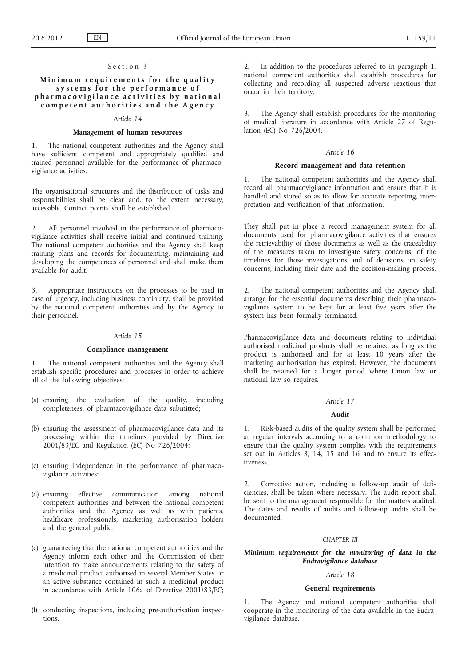## Section 3

# **Minimum requirements for the quality** systems for the performance of **p h a r m a c o v i g i l a n c e a c t i v i t i e s b y n a t i o n a l**  competent authorities and the Agency

## *Article 14*

#### **Management of human resources**

The national competent authorities and the Agency shall have sufficient competent and appropriately qualified and trained personnel available for the performance of pharmacovigilance activities.

The organisational structures and the distribution of tasks and responsibilities shall be clear and, to the extent necessary, accessible. Contact points shall be established.

2. All personnel involved in the performance of pharmacovigilance activities shall receive initial and continued training. The national competent authorities and the Agency shall keep training plans and records for documenting, maintaining and developing the competences of personnel and shall make them available for audit.

3. Appropriate instructions on the processes to be used in case of urgency, including business continuity, shall be provided by the national competent authorities and by the Agency to their personnel.

## *Article 15*

## **Compliance management**

1. The national competent authorities and the Agency shall establish specific procedures and processes in order to achieve all of the following objectives:

- (a) ensuring the evaluation of the quality, including completeness, of pharmacovigilance data submitted;
- (b) ensuring the assessment of pharmacovigilance data and its processing within the timelines provided by Directive 2001/83/EC and Regulation (EC) No 726/2004;
- (c) ensuring independence in the performance of pharmacovigilance activities;
- (d) ensuring effective communication among national competent authorities and between the national competent authorities and the Agency as well as with patients, healthcare professionals, marketing authorisation holders and the general public;
- (e) guaranteeing that the national competent authorities and the Agency inform each other and the Commission of their intention to make announcements relating to the safety of a medicinal product authorised in several Member States or an active substance contained in such a medicinal product in accordance with Article 106a of Directive 2001/83/EC;
- (f) conducting inspections, including pre-authorisation inspections.

2. In addition to the procedures referred to in paragraph 1, national competent authorities shall establish procedures for collecting and recording all suspected adverse reactions that occur in their territory.

3. The Agency shall establish procedures for the monitoring of medical literature in accordance with Article 27 of Regulation (EC) No 726/2004.

#### *Article 16*

#### **Record management and data retention**

1. The national competent authorities and the Agency shall record all pharmacovigilance information and ensure that it is handled and stored so as to allow for accurate reporting, interpretation and verification of that information.

They shall put in place a record management system for all documents used for pharmacovigilance activities that ensures the retrievability of those documents as well as the traceability of the measures taken to investigate safety concerns, of the timelines for those investigations and of decisions on safety concerns, including their date and the decision-making process.

2. The national competent authorities and the Agency shall arrange for the essential documents describing their pharmacovigilance system to be kept for at least five years after the system has been formally terminated.

Pharmacovigilance data and documents relating to individual authorised medicinal products shall be retained as long as the product is authorised and for at least 10 years after the marketing authorisation has expired. However, the documents shall be retained for a longer period where Union law or national law so requires.

#### *Article 17*

## **Audit**

1. Risk-based audits of the quality system shall be performed at regular intervals according to a common methodology to ensure that the quality system complies with the requirements set out in Articles 8, 14, 15 and 16 and to ensure its effectiveness.

2. Corrective action, including a follow-up audit of deficiencies, shall be taken where necessary. The audit report shall be sent to the management responsible for the matters audited. The dates and results of audits and follow-up audits shall be documented.

#### *CHAPTER III*

## *Minimum requirements for the monitoring of data in the Eudravigilance database*

# *Article 18*

#### **General requirements**

1. The Agency and national competent authorities shall cooperate in the monitoring of the data available in the Eudravigilance database.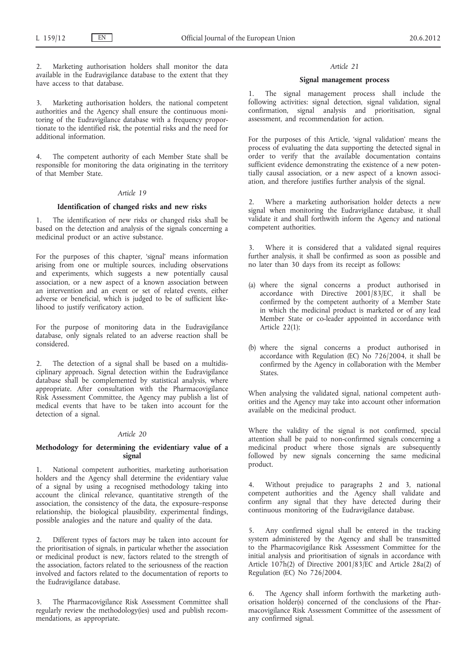2. Marketing authorisation holders shall monitor the data available in the Eudravigilance database to the extent that they have access to that database.

3. Marketing authorisation holders, the national competent authorities and the Agency shall ensure the continuous monitoring of the Eudravigilance database with a frequency proportionate to the identified risk, the potential risks and the need for additional information.

4. The competent authority of each Member State shall be responsible for monitoring the data originating in the territory of that Member State.

## *Article 19*

## **Identification of changed risks and new risks**

1. The identification of new risks or changed risks shall be based on the detection and analysis of the signals concerning a medicinal product or an active substance.

For the purposes of this chapter, 'signal' means information arising from one or multiple sources, including observations and experiments, which suggests a new potentially causal association, or a new aspect of a known association between an intervention and an event or set of related events, either adverse or beneficial, which is judged to be of sufficient likelihood to justify verificatory action.

For the purpose of monitoring data in the Eudravigilance database, only signals related to an adverse reaction shall be considered.

2. The detection of a signal shall be based on a multidisciplinary approach. Signal detection within the Eudravigilance database shall be complemented by statistical analysis, where appropriate. After consultation with the Pharmacovigilance Risk Assessment Committee, the Agency may publish a list of medical events that have to be taken into account for the detection of a signal.

## *Article 20*

## **Methodology for determining the evidentiary value of a signal**

1. National competent authorities, marketing authorisation holders and the Agency shall determine the evidentiary value of a signal by using a recognised methodology taking into account the clinical relevance, quantitative strength of the association, the consistency of the data, the exposure–response relationship, the biological plausibility, experimental findings, possible analogies and the nature and quality of the data.

2. Different types of factors may be taken into account for the prioritisation of signals, in particular whether the association or medicinal product is new, factors related to the strength of the association, factors related to the seriousness of the reaction involved and factors related to the documentation of reports to the Eudravigilance database.

3. The Pharmacovigilance Risk Assessment Committee shall regularly review the methodology(ies) used and publish recommendations, as appropriate.

## *Article 21*

## **Signal management process**

1. The signal management process shall include the following activities: signal detection, signal validation, signal confirmation, signal analysis and prioritisation, signal assessment, and recommendation for action.

For the purposes of this Article, 'signal validation' means the process of evaluating the data supporting the detected signal in order to verify that the available documentation contains sufficient evidence demonstrating the existence of a new potentially causal association, or a new aspect of a known association, and therefore justifies further analysis of the signal.

2. Where a marketing authorisation holder detects a new signal when monitoring the Eudravigilance database, it shall validate it and shall forthwith inform the Agency and national competent authorities.

3. Where it is considered that a validated signal requires further analysis, it shall be confirmed as soon as possible and no later than 30 days from its receipt as follows:

- (a) where the signal concerns a product authorised in accordance with Directive 2001/83/EC, it shall be confirmed by the competent authority of a Member State in which the medicinal product is marketed or of any lead Member State or co-leader appointed in accordance with Article 22(1);
- (b) where the signal concerns a product authorised in accordance with Regulation (EC) No  $726/2004$ , it shall be confirmed by the Agency in collaboration with the Member States.

When analysing the validated signal, national competent authorities and the Agency may take into account other information available on the medicinal product.

Where the validity of the signal is not confirmed, special attention shall be paid to non-confirmed signals concerning a medicinal product where those signals are subsequently followed by new signals concerning the same medicinal product.

4. Without prejudice to paragraphs 2 and 3, national competent authorities and the Agency shall validate and confirm any signal that they have detected during their continuous monitoring of the Eudravigilance database.

5. Any confirmed signal shall be entered in the tracking system administered by the Agency and shall be transmitted to the Pharmacovigilance Risk Assessment Committee for the initial analysis and prioritisation of signals in accordance with Article 107h(2) of Directive 2001/83/EC and Article 28a(2) of Regulation (EC) No 726/2004.

6. The Agency shall inform forthwith the marketing authorisation holder(s) concerned of the conclusions of the Pharmacovigilance Risk Assessment Committee of the assessment of any confirmed signal.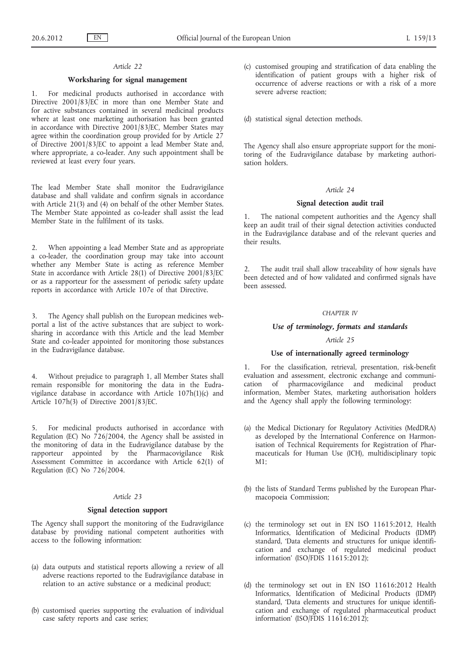## *Article 22*

## **Worksharing for signal management**

1. For medicinal products authorised in accordance with Directive 2001/83/EC in more than one Member State and for active substances contained in several medicinal products where at least one marketing authorisation has been granted in accordance with Directive 2001/83/EC, Member States may agree within the coordination group provided for by Article 27 of Directive 2001/83/EC to appoint a lead Member State and, where appropriate, a co-leader. Any such appointment shall be reviewed at least every four years.

The lead Member State shall monitor the Eudravigilance database and shall validate and confirm signals in accordance with Article 21(3) and (4) on behalf of the other Member States. The Member State appointed as co-leader shall assist the lead Member State in the fulfilment of its tasks.

2. When appointing a lead Member State and as appropriate a co-leader, the coordination group may take into account whether any Member State is acting as reference Member State in accordance with Article 28(1) of Directive 2001/83/EC or as a rapporteur for the assessment of periodic safety update reports in accordance with Article 107e of that Directive.

3. The Agency shall publish on the European medicines webportal a list of the active substances that are subject to worksharing in accordance with this Article and the lead Member State and co-leader appointed for monitoring those substances in the Eudravigilance database.

4. Without prejudice to paragraph 1, all Member States shall remain responsible for monitoring the data in the Eudravigilance database in accordance with Article 107h(1)(c) and Article 107h(3) of Directive 2001/83/EC.

5. For medicinal products authorised in accordance with Regulation (EC) No 726/2004, the Agency shall be assisted in the monitoring of data in the Eudravigilance database by the rapporteur appointed by the Pharmacovigilance Risk Assessment Committee in accordance with Article 62(1) of Regulation (EC) No 726/2004.

## *Article 23*

#### **Signal detection support**

The Agency shall support the monitoring of the Eudravigilance database by providing national competent authorities with access to the following information:

- (a) data outputs and statistical reports allowing a review of all adverse reactions reported to the Eudravigilance database in relation to an active substance or a medicinal product;
- (b) customised queries supporting the evaluation of individual case safety reports and case series;

(c) customised grouping and stratification of data enabling the identification of patient groups with a higher risk of occurrence of adverse reactions or with a risk of a more severe adverse reaction;

(d) statistical signal detection methods.

The Agency shall also ensure appropriate support for the monitoring of the Eudravigilance database by marketing authorisation holders.

## *Article 24*

## **Signal detection audit trail**

The national competent authorities and the Agency shall keep an audit trail of their signal detection activities conducted in the Eudravigilance database and of the relevant queries and their results.

2. The audit trail shall allow traceability of how signals have been detected and of how validated and confirmed signals have been assessed.

#### *CHAPTER IV*

## *Use of terminology, formats and standards*

# *Article 25*

## **Use of internationally agreed terminology**

1. For the classification, retrieval, presentation, risk-benefit evaluation and assessment, electronic exchange and communication of pharmacovigilance and medicinal product information, Member States, marketing authorisation holders and the Agency shall apply the following terminology:

- (a) the Medical Dictionary for Regulatory Activities (MedDRA) as developed by the International Conference on Harmonisation of Technical Requirements for Registration of Pharmaceuticals for Human Use (ICH), multidisciplinary topic M1;
- (b) the lists of Standard Terms published by the European Pharmacopoeia Commission;
- (c) the terminology set out in EN ISO 11615:2012, Health Informatics, Identification of Medicinal Products (IDMP) standard, 'Data elements and structures for unique identification and exchange of regulated medicinal product information' (ISO/FDIS 11615:2012);
- (d) the terminology set out in EN ISO 11616:2012 Health Informatics, Identification of Medicinal Products (IDMP) standard, 'Data elements and structures for unique identification and exchange of regulated pharmaceutical product information' (ISO/FDIS 11616:2012);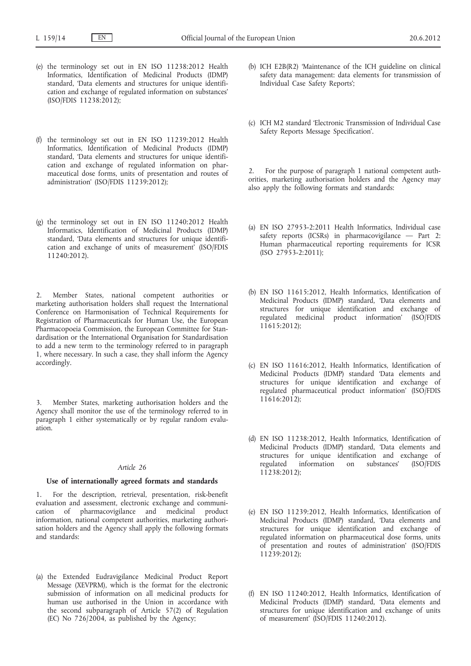- (e) the terminology set out in EN ISO 11238:2012 Health Informatics, Identification of Medicinal Products (IDMP) standard, 'Data elements and structures for unique identification and exchange of regulated information on substances' (ISO/FDIS 11238:2012);
- (f) the terminology set out in EN ISO 11239:2012 Health Informatics, Identification of Medicinal Products (IDMP) standard, 'Data elements and structures for unique identification and exchange of regulated information on pharmaceutical dose forms, units of presentation and routes of administration' (ISO/FDIS 11239:2012);
- (g) the terminology set out in EN ISO 11240:2012 Health Informatics, Identification of Medicinal Products (IDMP) standard, 'Data elements and structures for unique identification and exchange of units of measurement' (ISO/FDIS 11240:2012).

2. Member States, national competent authorities or marketing authorisation holders shall request the International Conference on Harmonisation of Technical Requirements for Registration of Pharmaceuticals for Human Use, the European Pharmacopoeia Commission, the European Committee for Standardisation or the International Organisation for Standardisation to add a new term to the terminology referred to in paragraph 1, where necessary. In such a case, they shall inform the Agency accordingly.

Member States, marketing authorisation holders and the Agency shall monitor the use of the terminology referred to in paragraph 1 either systematically or by regular random evaluation.

## *Article 26*

## **Use of internationally agreed formats and standards**

1. For the description, retrieval, presentation, risk-benefit evaluation and assessment, electronic exchange and communication of pharmacovigilance and medicinal product information, national competent authorities, marketing authorisation holders and the Agency shall apply the following formats and standards:

(a) the Extended Eudravigilance Medicinal Product Report Message (XEVPRM), which is the format for the electronic submission of information on all medicinal products for human use authorised in the Union in accordance with the second subparagraph of Article 57(2) of Regulation (EC) No 726/2004, as published by the Agency;

- (b) ICH E2B(R2) 'Maintenance of the ICH guideline on clinical safety data management: data elements for transmission of Individual Case Safety Reports';
- (c) ICH M2 standard 'Electronic Transmission of Individual Case Safety Reports Message Specification'.

2. For the purpose of paragraph 1 national competent authorities, marketing authorisation holders and the Agency may also apply the following formats and standards:

- (a) EN ISO 27953-2:2011 Health Informatics, Individual case safety reports (ICSRs) in pharmacovigilance - Part 2: Human pharmaceutical reporting requirements for ICSR (ISO 27953-2:2011);
- (b) EN ISO 11615:2012, Health Informatics, Identification of Medicinal Products (IDMP) standard, 'Data elements and structures for unique identification and exchange of regulated medicinal product information' (ISO/FDIS 11615:2012);
- (c) EN ISO 11616:2012, Health Informatics, Identification of Medicinal Products (IDMP) standard 'Data elements and structures for unique identification and exchange of regulated pharmaceutical product information' (ISO/FDIS 11616:2012);
- (d) EN ISO 11238:2012, Health Informatics, Identification of Medicinal Products (IDMP) standard, 'Data elements and structures for unique identification and exchange of regulated information on substances' (ISO/FDIS 11238:2012);
- (e) EN ISO 11239:2012, Health Informatics, Identification of Medicinal Products (IDMP) standard, 'Data elements and structures for unique identification and exchange of regulated information on pharmaceutical dose forms, units of presentation and routes of administration' (ISO/FDIS 11239:2012);
- (f) EN ISO 11240:2012, Health Informatics, Identification of Medicinal Products (IDMP) standard, 'Data elements and structures for unique identification and exchange of units of measurement' (ISO/FDIS 11240:2012).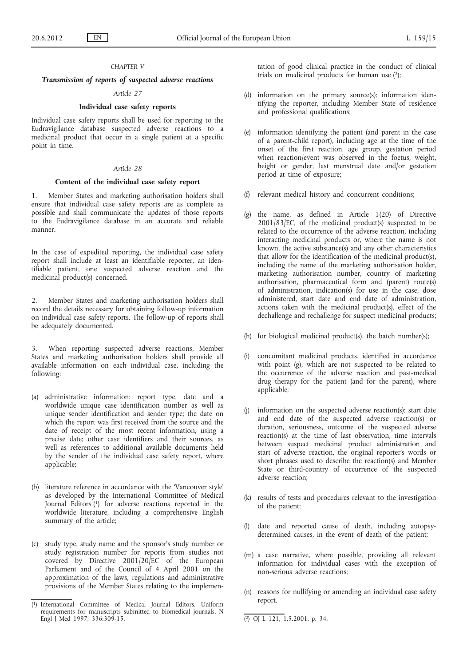## *CHAPTER V*

# *Transmission of reports of suspected adverse reactions*

# *Article 27*

# **Individual case safety reports**

Individual case safety reports shall be used for reporting to the Eudravigilance database suspected adverse reactions to a medicinal product that occur in a single patient at a specific point in time.

# *Article 28*

## **Content of the individual case safety report**

1. Member States and marketing authorisation holders shall ensure that individual case safety reports are as complete as possible and shall communicate the updates of those reports to the Eudravigilance database in an accurate and reliable manner.

In the case of expedited reporting, the individual case safety report shall include at least an identifiable reporter, an identifiable patient, one suspected adverse reaction and the medicinal product(s) concerned.

2. Member States and marketing authorisation holders shall record the details necessary for obtaining follow-up information on individual case safety reports. The follow-up of reports shall be adequately documented.

When reporting suspected adverse reactions, Member States and marketing authorisation holders shall provide all available information on each individual case, including the following:

- (a) administrative information: report type, date and a worldwide unique case identification number as well as unique sender identification and sender type; the date on which the report was first received from the source and the date of receipt of the most recent information, using a precise date; other case identifiers and their sources, as well as references to additional available documents held by the sender of the individual case safety report, where applicable;
- (b) literature reference in accordance with the 'Vancouver style' as developed by the International Committee of Medical Journal Editors (1) for adverse reactions reported in the worldwide literature, including a comprehensive English summary of the article;
- (c) study type, study name and the sponsor's study number or study registration number for reports from studies not covered by Directive 2001/20/EC of the European Parliament and of the Council of 4 April 2001 on the approximation of the laws, regulations and administrative provisions of the Member States relating to the implemen-

tation of good clinical practice in the conduct of clinical trials on medicinal products for human use  $(2)$ ;

- (d) information on the primary source(s): information identifying the reporter, including Member State of residence and professional qualifications;
- (e) information identifying the patient (and parent in the case of a parent-child report), including age at the time of the onset of the first reaction, age group, gestation period when reaction/event was observed in the foetus, weight, height or gender, last menstrual date and/or gestation period at time of exposure;
- (f) relevant medical history and concurrent conditions;
- (g) the name, as defined in Article 1(20) of Directive  $2001/83/EC$ , of the medicinal product(s) suspected to be related to the occurrence of the adverse reaction, including interacting medicinal products or, where the name is not known, the active substance(s) and any other characteristics that allow for the identification of the medicinal product(s), including the name of the marketing authorisation holder, marketing authorisation number, country of marketing authorisation, pharmaceutical form and (parent) route(s) of administration, indication(s) for use in the case, dose administered, start date and end date of administration, actions taken with the medicinal product(s), effect of the dechallenge and rechallenge for suspect medicinal products;
- (h) for biological medicinal product(s), the batch number(s);
- (i) concomitant medicinal products, identified in accordance with point (g), which are not suspected to be related to the occurrence of the adverse reaction and past-medical drug therapy for the patient (and for the parent), where applicable;
- information on the suspected adverse reaction(s): start date and end date of the suspected adverse reaction(s) or duration, seriousness, outcome of the suspected adverse reaction(s) at the time of last observation, time intervals between suspect medicinal product administration and start of adverse reaction, the original reporter's words or short phrases used to describe the reaction(s) and Member State or third-country of occurrence of the suspected adverse reaction;
- (k) results of tests and procedures relevant to the investigation of the patient;
- (l) date and reported cause of death, including autopsydetermined causes, in the event of death of the patient;
- (m) a case narrative, where possible, providing all relevant information for individual cases with the exception of non-serious adverse reactions;
- (n) reasons for nullifying or amending an individual case safety report.

<sup>(</sup> International Committee of Medical Journal Editors. Uniform requirements for manuscripts submitted to biomedical journals. N Engl J Med 1997; 336:309-15. (2) OJ L 121, 1.5.2001, p. 34.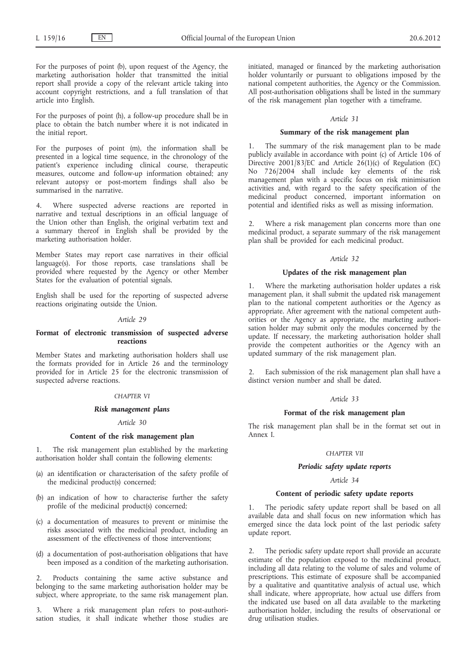For the purposes of point (b), upon request of the Agency, the marketing authorisation holder that transmitted the initial report shall provide a copy of the relevant article taking into account copyright restrictions, and a full translation of that article into English.

For the purposes of point (h), a follow-up procedure shall be in place to obtain the batch number where it is not indicated in the initial report.

For the purposes of point (m), the information shall be presented in a logical time sequence, in the chronology of the patient's experience including clinical course, therapeutic measures, outcome and follow-up information obtained; any relevant autopsy or post-mortem findings shall also be summarised in the narrative.

4. Where suspected adverse reactions are reported in narrative and textual descriptions in an official language of the Union other than English, the original verbatim text and a summary thereof in English shall be provided by the marketing authorisation holder.

Member States may report case narratives in their official language(s). For those reports, case translations shall be provided where requested by the Agency or other Member States for the evaluation of potential signals.

English shall be used for the reporting of suspected adverse reactions originating outside the Union.

#### *Article 29*

## **Format of electronic transmission of suspected adverse reactions**

Member States and marketing authorisation holders shall use the formats provided for in Article 26 and the terminology provided for in Article 25 for the electronic transmission of suspected adverse reactions.

## *CHAPTER VI*

## *Risk management plans*

## *Article 30*

## **Content of the risk management plan**

The risk management plan established by the marketing authorisation holder shall contain the following elements:

- (a) an identification or characterisation of the safety profile of the medicinal product(s) concerned;
- (b) an indication of how to characterise further the safety profile of the medicinal product(s) concerned;
- (c) a documentation of measures to prevent or minimise the risks associated with the medicinal product, including an assessment of the effectiveness of those interventions;
- (d) a documentation of post-authorisation obligations that have been imposed as a condition of the marketing authorisation.

2. Products containing the same active substance and belonging to the same marketing authorisation holder may be subject, where appropriate, to the same risk management plan.

3. Where a risk management plan refers to post-authorisation studies, it shall indicate whether those studies are initiated, managed or financed by the marketing authorisation holder voluntarily or pursuant to obligations imposed by the national competent authorities, the Agency or the Commission. All post-authorisation obligations shall be listed in the summary of the risk management plan together with a timeframe.

## *Article 31*

## **Summary of the risk management plan**

The summary of the risk management plan to be made publicly available in accordance with point (c) of Article 106 of Directive 2001/83/EC and Article  $2\dot{6}(1)(c)$  of Regulation (EC) No 726/2004 shall include key elements of the risk management plan with a specific focus on risk minimisation activities and, with regard to the safety specification of the medicinal product concerned, important information on potential and identified risks as well as missing information.

2. Where a risk management plan concerns more than one medicinal product, a separate summary of the risk management plan shall be provided for each medicinal product.

## *Article 32*

## **Updates of the risk management plan**

Where the marketing authorisation holder updates a risk management plan, it shall submit the updated risk management plan to the national competent authorities or the Agency as appropriate. After agreement with the national competent authorities or the Agency as appropriate, the marketing authorisation holder may submit only the modules concerned by the update. If necessary, the marketing authorisation holder shall provide the competent authorities or the Agency with an updated summary of the risk management plan.

Each submission of the risk management plan shall have a distinct version number and shall be dated.

## *Article 33*

#### **Format of the risk management plan**

The risk management plan shall be in the format set out in Annex I.

## *CHAPTER VII*

## *Periodic safety update reports*

# *Article 34*

## **Content of periodic safety update reports**

1. The periodic safety update report shall be based on all available data and shall focus on new information which has emerged since the data lock point of the last periodic safety update report.

2. The periodic safety update report shall provide an accurate estimate of the population exposed to the medicinal product, including all data relating to the volume of sales and volume of prescriptions. This estimate of exposure shall be accompanied by a qualitative and quantitative analysis of actual use, which shall indicate, where appropriate, how actual use differs from the indicated use based on all data available to the marketing authorisation holder, including the results of observational or drug utilisation studies.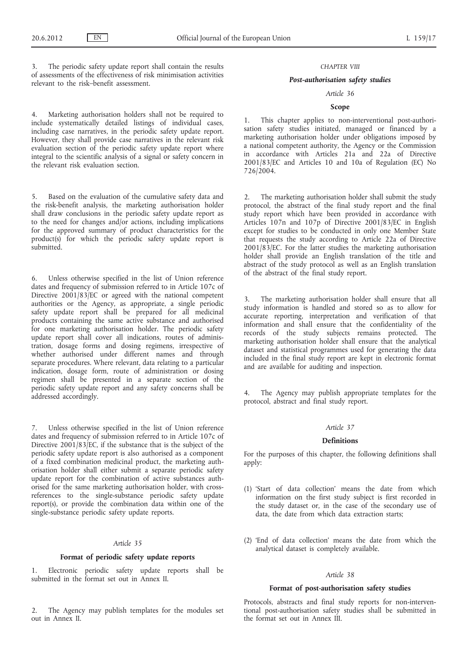The periodic safety update report shall contain the results of assessments of the effectiveness of risk minimisation activities relevant to the risk–benefit assessment.

4. Marketing authorisation holders shall not be required to include systematically detailed listings of individual cases, including case narratives, in the periodic safety update report. However, they shall provide case narratives in the relevant risk evaluation section of the periodic safety update report where integral to the scientific analysis of a signal or safety concern in the relevant risk evaluation section.

5. Based on the evaluation of the cumulative safety data and the risk-benefit analysis, the marketing authorisation holder shall draw conclusions in the periodic safety update report as to the need for changes and/or actions, including implications for the approved summary of product characteristics for the product(s) for which the periodic safety update report is submitted.

6. Unless otherwise specified in the list of Union reference dates and frequency of submission referred to in Article 107c of Directive  $2001/83/EC$  or agreed with the national competent authorities or the Agency, as appropriate, a single periodic safety update report shall be prepared for all medicinal products containing the same active substance and authorised for one marketing authorisation holder. The periodic safety update report shall cover all indications, routes of administration, dosage forms and dosing regimens, irrespective of whether authorised under different names and through separate procedures. Where relevant, data relating to a particular indication, dosage form, route of administration or dosing regimen shall be presented in a separate section of the periodic safety update report and any safety concerns shall be addressed accordingly.

7. Unless otherwise specified in the list of Union reference dates and frequency of submission referred to in Article 107c of Directive  $2001/83/EC$ , if the substance that is the subject of the periodic safety update report is also authorised as a component of a fixed combination medicinal product, the marketing authorisation holder shall either submit a separate periodic safety update report for the combination of active substances authorised for the same marketing authorisation holder, with crossreferences to the single-substance periodic safety update report(s), or provide the combination data within one of the single-substance periodic safety update reports.

#### *Article 35*

## **Format of periodic safety update reports**

Electronic periodic safety update reports shall be submitted in the format set out in Annex II.

2. The Agency may publish templates for the modules set out in Annex II.

#### *CHAPTER VIII*

## *Post-authorisation safety studies*

# *Article 36*

# **Scope**

1. This chapter applies to non-interventional post-authorisation safety studies initiated, managed or financed by a marketing authorisation holder under obligations imposed by a national competent authority, the Agency or the Commission in accordance with Articles 21a and 22a of Directive 2001/83/EC and Articles 10 and 10a of Regulation (EC) No 726/2004.

The marketing authorisation holder shall submit the study protocol, the abstract of the final study report and the final study report which have been provided in accordance with Articles 107n and 107p of Directive 2001/83/EC in English except for studies to be conducted in only one Member State that requests the study according to Article 22a of Directive  $2001/8\overline{3}/$  EC. For the latter studies the marketing authorisation holder shall provide an English translation of the title and abstract of the study protocol as well as an English translation of the abstract of the final study report.

3. The marketing authorisation holder shall ensure that all study information is handled and stored so as to allow for accurate reporting, interpretation and verification of that information and shall ensure that the confidentiality of the records of the study subjects remains protected. The marketing authorisation holder shall ensure that the analytical dataset and statistical programmes used for generating the data included in the final study report are kept in electronic format and are available for auditing and inspection.

4. The Agency may publish appropriate templates for the protocol, abstract and final study report.

## *Article 37*

# **Definitions**

For the purposes of this chapter, the following definitions shall apply:

- (1) 'Start of data collection' means the date from which information on the first study subject is first recorded in the study dataset or, in the case of the secondary use of data, the date from which data extraction starts;
- (2) 'End of data collection' means the date from which the analytical dataset is completely available.

# *Article 38*

## **Format of post-authorisation safety studies**

Protocols, abstracts and final study reports for non-interventional post-authorisation safety studies shall be submitted in the format set out in Annex III.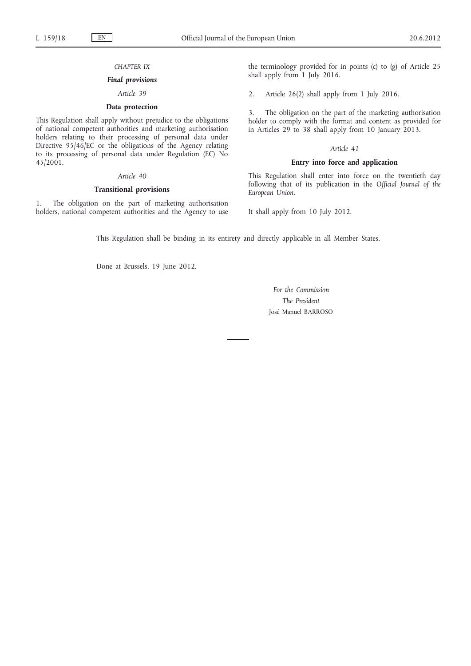## *CHAPTER IX*

## *Final provisions*

# *Article 39*

# **Data protection**

This Regulation shall apply without prejudice to the obligations of national competent authorities and marketing authorisation holders relating to their processing of personal data under Directive 95/46/EC or the obligations of the Agency relating to its processing of personal data under Regulation (EC) No 45/2001.

## *Article 40*

## **Transitional provisions**

1. The obligation on the part of marketing authorisation holders, national competent authorities and the Agency to use the terminology provided for in points (c) to (g) of Article 25 shall apply from 1 July 2016.

2. Article 26(2) shall apply from 1 July 2016.

3. The obligation on the part of the marketing authorisation holder to comply with the format and content as provided for in Articles 29 to 38 shall apply from 10 January 2013.

#### *Article 41*

## **Entry into force and application**

This Regulation shall enter into force on the twentieth day following that of its publication in the *Official Journal of the European Union*.

It shall apply from 10 July 2012.

This Regulation shall be binding in its entirety and directly applicable in all Member States.

Done at Brussels, 19 June 2012.

*For the Commission The President* José Manuel BARROSO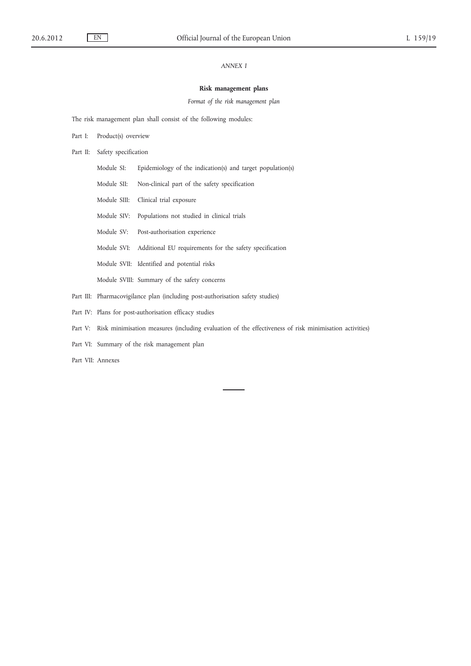# *ANNEX I*

## **Risk management plans**

*Format of the risk management plan*

The risk management plan shall consist of the following modules:

- Part I: Product(s) overview
- Part II: Safety specification
	- Module SI: Epidemiology of the indication(s) and target population(s)
	- Module SII: Non-clinical part of the safety specification
	- Module SIII: Clinical trial exposure
	- Module SIV: Populations not studied in clinical trials
	- Module SV: Post-authorisation experience
	- Module SVI: Additional EU requirements for the safety specification
	- Module SVII: Identified and potential risks

Module SVIII: Summary of the safety concerns

- Part III: Pharmacovigilance plan (including post-authorisation safety studies)
- Part IV: Plans for post-authorisation efficacy studies
- Part V: Risk minimisation measures (including evaluation of the effectiveness of risk minimisation activities)
- Part VI: Summary of the risk management plan

Part VII: Annexes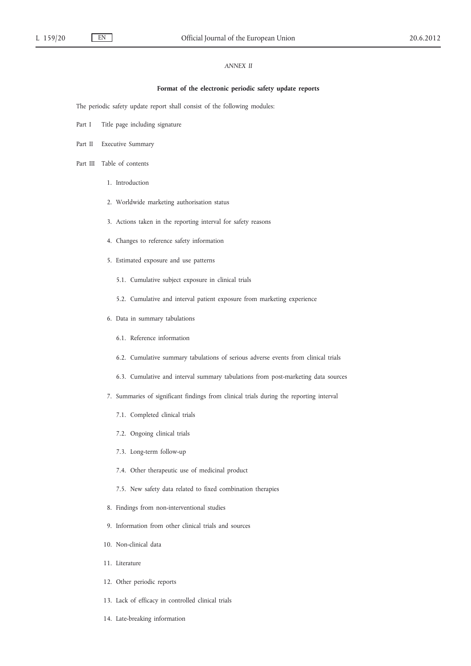# *ANNEX II*

## **Format of the electronic periodic safety update reports**

The periodic safety update report shall consist of the following modules:

- Part I Title page including signature
- Part II Executive Summary
- Part III Table of contents
	- 1. Introduction
	- 2. Worldwide marketing authorisation status
	- 3. Actions taken in the reporting interval for safety reasons
	- 4. Changes to reference safety information
	- 5. Estimated exposure and use patterns
		- 5.1. Cumulative subject exposure in clinical trials
		- 5.2. Cumulative and interval patient exposure from marketing experience
	- 6. Data in summary tabulations
		- 6.1. Reference information
		- 6.2. Cumulative summary tabulations of serious adverse events from clinical trials
		- 6.3. Cumulative and interval summary tabulations from post-marketing data sources
	- 7. Summaries of significant findings from clinical trials during the reporting interval
		- 7.1. Completed clinical trials
		- 7.2. Ongoing clinical trials
		- 7.3. Long-term follow-up
		- 7.4. Other therapeutic use of medicinal product
		- 7.5. New safety data related to fixed combination therapies
	- 8. Findings from non-interventional studies
	- 9. Information from other clinical trials and sources
	- 10. Non-clinical data
	- 11. Literature
	- 12. Other periodic reports
	- 13. Lack of efficacy in controlled clinical trials
	- 14. Late-breaking information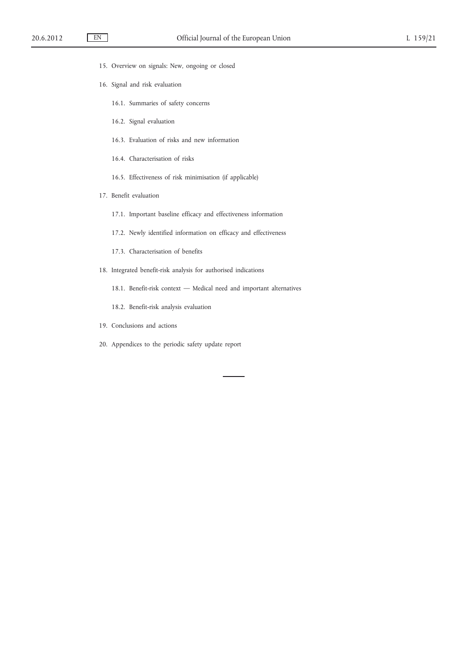- 15. Overview on signals: New, ongoing or closed
- 16. Signal and risk evaluation
	- 16.1. Summaries of safety concerns
	- 16.2. Signal evaluation
	- 16.3. Evaluation of risks and new information
	- 16.4. Characterisation of risks
	- 16.5. Effectiveness of risk minimisation (if applicable)
- 17. Benefit evaluation
	- 17.1. Important baseline efficacy and effectiveness information
	- 17.2. Newly identified information on efficacy and effectiveness
	- 17.3. Characterisation of benefits
- 18. Integrated benefit-risk analysis for authorised indications
	- 18.1. Benefit-risk context Medical need and important alternatives
	- 18.2. Benefit-risk analysis evaluation
- 19. Conclusions and actions
- 20. Appendices to the periodic safety update report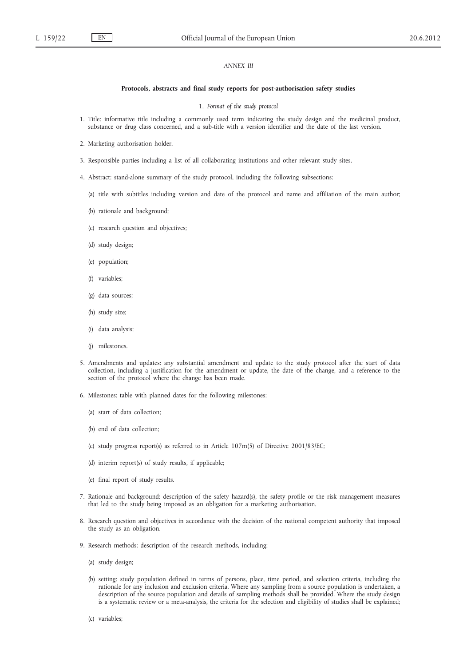## *ANNEX III*

#### **Protocols, abstracts and final study reports for post-authorisation safety studies**

1. *Format of the study protocol*

- 1. Title: informative title including a commonly used term indicating the study design and the medicinal product, substance or drug class concerned, and a sub-title with a version identifier and the date of the last version.
- 2. Marketing authorisation holder.
- 3. Responsible parties including a list of all collaborating institutions and other relevant study sites.
- 4. Abstract: stand-alone summary of the study protocol, including the following subsections:
	- (a) title with subtitles including version and date of the protocol and name and affiliation of the main author;
	- (b) rationale and background;
	- (c) research question and objectives;
	- (d) study design;
	- (e) population;
	- (f) variables;
	- (g) data sources;
	- (h) study size;
	- (i) data analysis;
	- (j) milestones.
- 5. Amendments and updates: any substantial amendment and update to the study protocol after the start of data collection, including a justification for the amendment or update, the date of the change, and a reference to the section of the protocol where the change has been made.
- 6. Milestones: table with planned dates for the following milestones:
	- (a) start of data collection;
	- (b) end of data collection;
	- (c) study progress report(s) as referred to in Article 107m(5) of Directive 2001/83/EC;
	- (d) interim report(s) of study results, if applicable;
	- (e) final report of study results.
- 7. Rationale and background: description of the safety hazard(s), the safety profile or the risk management measures that led to the study being imposed as an obligation for a marketing authorisation.
- 8. Research question and objectives in accordance with the decision of the national competent authority that imposed the study as an obligation.
- 9. Research methods: description of the research methods, including:
	- (a) study design;
	- (b) setting: study population defined in terms of persons, place, time period, and selection criteria, including the rationale for any inclusion and exclusion criteria. Where any sampling from a source population is undertaken, a description of the source population and details of sampling methods shall be provided. Where the study design is a systematic review or a meta-analysis, the criteria for the selection and eligibility of studies shall be explained;
	- (c) variables;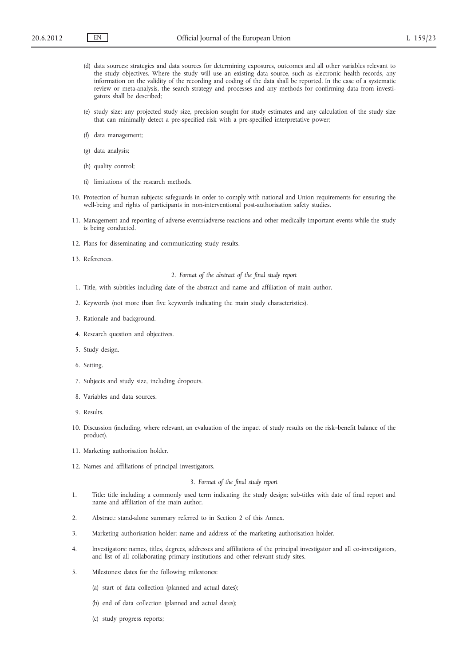- (d) data sources: strategies and data sources for determining exposures, outcomes and all other variables relevant to the study objectives. Where the study will use an existing data source, such as electronic health records, any information on the validity of the recording and coding of the data shall be reported. In the case of a systematic review or meta-analysis, the search strategy and processes and any methods for confirming data from investigators shall be described;
- (e) study size: any projected study size, precision sought for study estimates and any calculation of the study size that can minimally detect a pre-specified risk with a pre-specified interpretative power;
- (f) data management;
- (g) data analysis;
- (h) quality control;
- (i) limitations of the research methods.
- 10. Protection of human subjects: safeguards in order to comply with national and Union requirements for ensuring the well-being and rights of participants in non-interventional post-authorisation safety studies.
- 11. Management and reporting of adverse events/adverse reactions and other medically important events while the study is being conducted.
- 12. Plans for disseminating and communicating study results.
- 13. References.

#### 2. *Format of the abstract of the final study report*

- 1. Title, with subtitles including date of the abstract and name and affiliation of main author.
- 2. Keywords (not more than five keywords indicating the main study characteristics).
- 3. Rationale and background.
- 4. Research question and objectives.
- 5. Study design.
- 6. Setting.
- 7. Subjects and study size, including dropouts.
- 8. Variables and data sources.
- 9. Results.
- 10. Discussion (including, where relevant, an evaluation of the impact of study results on the risk–benefit balance of the product).
- 11. Marketing authorisation holder.
- 12. Names and affiliations of principal investigators.

## 3. *Format of the final study report*

- 1. Title: title including a commonly used term indicating the study design; sub-titles with date of final report and name and affiliation of the main author.
- 2. Abstract: stand-alone summary referred to in Section 2 of this Annex.
- 3. Marketing authorisation holder: name and address of the marketing authorisation holder.
- 4. Investigators: names, titles, degrees, addresses and affiliations of the principal investigator and all co-investigators, and list of all collaborating primary institutions and other relevant study sites.
- 5. Milestones: dates for the following milestones:
	- (a) start of data collection (planned and actual dates);
	- (b) end of data collection (planned and actual dates);
	- (c) study progress reports;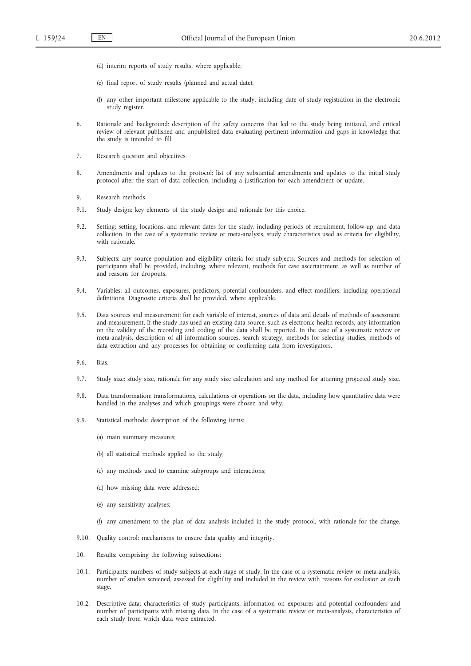- (d) interim reports of study results, where applicable;
- (e) final report of study results (planned and actual date);
- (f) any other important milestone applicable to the study, including date of study registration in the electronic study register.
- 6. Rationale and background: description of the safety concerns that led to the study being initiated, and critical review of relevant published and unpublished data evaluating pertinent information and gaps in knowledge that the study is intended to fill.
- 7. Research question and objectives.
- 8. Amendments and updates to the protocol: list of any substantial amendments and updates to the initial study protocol after the start of data collection, including a justification for each amendment or update.
- 9. Research methods
- 9.1. Study design: key elements of the study design and rationale for this choice.
- 9.2. Setting: setting, locations, and relevant dates for the study, including periods of recruitment, follow-up, and data collection. In the case of a systematic review or meta-analysis, study characteristics used as criteria for eligibility, with rationale.
- 9.3. Subjects: any source population and eligibility criteria for study subjects. Sources and methods for selection of participants shall be provided, including, where relevant, methods for case ascertainment, as well as number of and reasons for dropouts.
- 9.4. Variables: all outcomes, exposures, predictors, potential confounders, and effect modifiers, including operational definitions. Diagnostic criteria shall be provided, where applicable.
- 9.5. Data sources and measurement: for each variable of interest, sources of data and details of methods of assessment and measurement. If the study has used an existing data source, such as electronic health records, any information on the validity of the recording and coding of the data shall be reported. In the case of a systematic review or meta-analysis, description of all information sources, search strategy, methods for selecting studies, methods of data extraction and any processes for obtaining or confirming data from investigators.
- 9.6. Bias.
- 9.7. Study size: study size, rationale for any study size calculation and any method for attaining projected study size.
- 9.8. Data transformation: transformations, calculations or operations on the data, including how quantitative data were handled in the analyses and which groupings were chosen and why.
- 9.9. Statistical methods: description of the following items:
	- (a) main summary measures;
	- (b) all statistical methods applied to the study;
	- (c) any methods used to examine subgroups and interactions;
	- (d) how missing data were addressed;
	- (e) any sensitivity analyses;
	- (f) any amendment to the plan of data analysis included in the study protocol, with rationale for the change.
- 9.10. Quality control: mechanisms to ensure data quality and integrity.
- 10. Results: comprising the following subsections:
- 10.1. Participants: numbers of study subjects at each stage of study. In the case of a systematic review or meta-analysis, number of studies screened, assessed for eligibility and included in the review with reasons for exclusion at each stage.
- 10.2. Descriptive data: characteristics of study participants, information on exposures and potential confounders and number of participants with missing data. In the case of a systematic review or meta-analysis, characteristics of each study from which data were extracted.